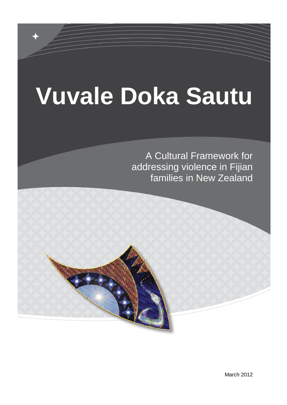# **Vuvale Doka Sautu**

A Cultural Framework for addressing violence in Fijian families in New Zealand

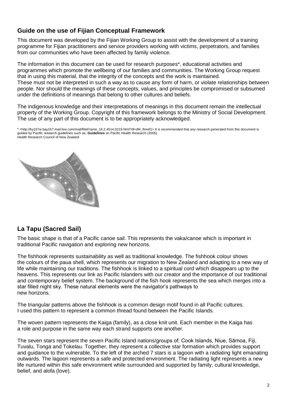#### **Guide on the use of Fijian Conceptual Framework**

This document was developed by the Fijian Working Group to assist with the development of a training programme for Fijian practitioners and service providers working with victims, perpetrators, and families from our communities who have been affected by family violence.

The information in this document can be used for research purposes\*, educational activities and programmes which promote the wellbeing of our families and communities. The Working Group request that in using this material, that the integrity of the concepts and the work is maintained. These must not be interpreted in such a way as to cause any form of harm, or violate relationships between people. Nor should the meanings of these concepts, values, and principles be compromised or subsumed under the definitions of meanings that belong to other cultures and beliefs.

The indigenous knowledge and their interpretations of meanings in this document remain the intellectual property of the Working Group. Copyright of this framework belongs to the Ministry of Social Development. The use of any part of this document is to be appropriately acknowledged.

\* <http://by167w.bay167.mail.live.com/mail/RteFrame\_16.2.4514.0219.html?dl=dl#\_ftnref1> It is recommended that any research generated from this document is guided by Pacific research guidelines such as, **Guidelines** on Pacific Health Research (2005). Health Research Council of New Zealand



#### **La Tapu (Sacred Sail)**

The basic shape is that of a Pacific canoe sail. This represents the vaka/canoe which is important in traditional Pacific navigation and exploring new horizons.

The fishhook represents sustainability as well as traditional knowledge. The fishhook colour shows the colours of the paua shell, which represents our migration to New Zealand and adapting to a new way of life while maintaining our traditions. The fishhook is linked to a spiritual cord which disappears up to the heavens. This represents our link as Pacific Islanders with our creator and the importance of our traditional and contemporary belief system. The background of the fish hook represents the sea which merges into a star filled night sky. These natural elements were the navigator's pathways to new horizons.

The triangular patterns above the fishhook is a common design motif found in all Pacific cultures. I used this pattern to represent a common thread found between the Pacific Islands.

The woven pattern represents the Kaiga (family), as a close knit unit. Each member in the Kaiga has a role and purpose in the same way each strand supports one another.

The seven stars represent the seven Pacific Island nations/groups of; Cook Islands, Niue, Sāmoa, Fiji, Tuvalu, Tonga and Tokelau. Together, they represent a collective star formation which provides support and guidance to the vulnerable. To the left of the arched 7 stars is a lagoon with a radiating light emanating outwards. The lagoon represents a safe and protected environment. The radiating light represents a new life nurtured within this safe environment while surrounded and supported by family, cultural knowledge, belief, and alofa (love).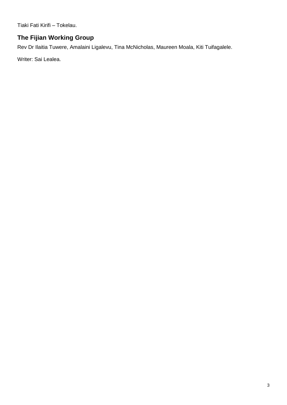Tiaki Fati Kirifi – Tokelau.

#### **The Fijian Working Group**

Rev Dr Ilaitia Tuwere, Amalaini Ligalevu, Tina McNicholas, Maureen Moala, Kiti Tuifagalele.

Writer: Sai Lealea.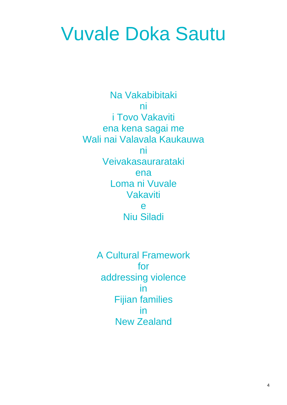## Vuvale Doka Sautu

Na Vakabibitaki ni i Tovo Vakaviti ena kena sagai me Wali nai Valavala Kaukauwa ni Veivakasaurarataki ena Loma ni Vuvale Vakaviti e Niu Siladi

> A Cultural Framework for addressing violence in Fijian families in New Zealand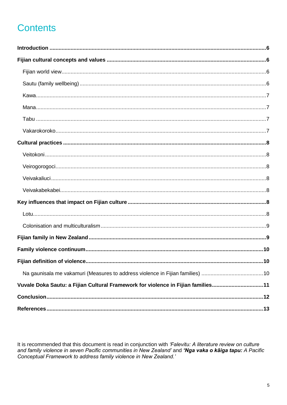## **Contents**

| Na gaunisala me vakamuri (Measures to address violence in Fijian families) 10    |  |
|----------------------------------------------------------------------------------|--|
| Vuvale Doka Sautu: a Fijian Cultural Framework for violence in Fijian families11 |  |
|                                                                                  |  |
|                                                                                  |  |

It is recommended that this document is read in conjunction with 'Falevitu: A literature review on culture and family violence in seven Pacific communities in New Zealand' and 'Nga vaka o kāiga tapu: A Pacific Conceptual Framework to address family violence in New Zealand.'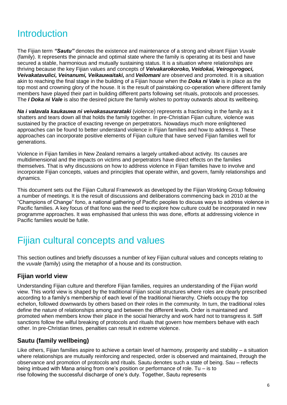## **Introduction**

The Fijian term *"Sautu"* denotes the existence and maintenance of a strong and vibrant Fijian *Vuvale* (family). It represents the pinnacle and optimal state where the family is operating at its best and have secured a stable, harmonious and mutually sustaining status. It is a situation where relationships are thriving because the key Fijian values and concepts of *Veivakarokoroko, Veidokai, Veirogorogoci, Veivakatavulici, Veinanumi, Veikauwaitaki,* and *Veilomani* are observed and promoted. It is a situation akin to reaching the final stage in the building of a Fijian house when the *Doka ni Vale* is in place as the top most and crowning glory of the house. It is the result of painstaking co-operation where different family members have played their part in building different parts following set rituals, protocols and processes. The *I Doka ni Vale* is also the desired picture the family wishes to portray outwards about its wellbeing.

*Na i valavala kaukauwa ni veivakasaurarataki* (violence) represents a fractioning in the family as it shatters and tears down all that holds the family together. In pre-Christian Fijian culture, violence was sustained by the practice of exacting revenge on perpetrators. Nowadays much more enlightened approaches can be found to better understand violence in Fijian families and how to address it. These approaches can incorporate positive elements of Fijian culture that have served Fijian families well for generations.

Violence in Fijian families in New Zealand remains a largely untalked-about activity. Its causes are multidimensional and the impacts on victims and perpetrators have direct effects on the families themselves. That is why discussions on how to address violence in Fijian families have to involve and incorporate Fijian concepts, values and principles that operate within, and govern, family relationships and dynamics.

This document sets out the Fijian Cultural Framework as developed by the Fijian Working Group following a number of meetings. It is the result of discussions and deliberations commencing back in 2010 at the "Champions of Change" fono, a national gathering of Pacific peoples to discuss ways to address violence in Pacific families. A key focus of that fono was the need to explore how culture could be incorporated in new programme approaches. It was emphasised that unless this was done, efforts at addressing violence in Pacific families would be futile.

## Fijian cultural concepts and values

This section outlines and briefly discusses a number of key Fijian cultural values and concepts relating to the *vuvale* (family) using the metaphor of a house and its construction.

#### **Fijian world view**

Understanding Fijian culture and therefore Fijian families, requires an understanding of the Fijian world view. This world view is shaped by the traditional Fijian social structures where roles are clearly prescribed according to a family's membership of each level of the traditional hierarchy. Chiefs occupy the top echelon, followed downwards by others based on their roles in the community. In turn, the traditional roles define the nature of relationships among and between the different levels. Order is maintained and promoted when members know their place in the social hierarchy and work hard not to transgress it. Stiff sanctions follow the wilful breaking of protocols and rituals that govern how members behave with each other. In pre-Christian times, penalties can result in extreme violence.

#### **Sautu (family wellbeing)**

Like others, Fijian families aspire to achieve a certain level of harmony, prosperity and stability – a situation where relationships are mutually reinforcing and respected, order is observed and maintained, through the observance and promotion of protocols and rituals. Sautu denotes such a state of being. Sau – reflects being imbued with Mana arising from one's position or performance of role. Tu – is to rise following the successful discharge of one's duty. Together, Sautu represents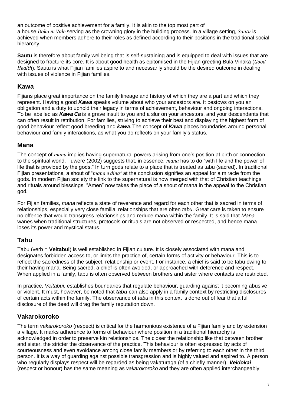an outcome of positive achievement for a family. It is akin to the top most part of a house *Doka ni Vale* serving as the crowning glory in the building process. In a village setting, *Sautu* is achieved when members adhere to their roles as defined according to their positions in the traditional social hierarchy.

**Sautu** is therefore about family wellbeing that is self-sustaining and is equipped to deal with issues that are designed to fracture its core. It is about good health as epitomised in the Fijian greeting Bula Vinaka (*Good Health*). Sautu is what Fijian families aspire to and necessarily should be the desired outcome in dealing with issues of violence in Fijian families.

#### **Kawa**

Fijians place great importance on the family lineage and history of which they are a part and which they represent. Having a good *Kawa* speaks volume about who your ancestors are. It bestows on you an obligation and a duty to uphold their legacy in terms of achievement, behaviour and ongoing interactions. To be labelled as *Kawa Ca* is a grave insult to you and a slur on your ancestors, and your descendants that can often result in retribution. For families, striving to achieve their best and displaying the highest form of good behaviour reflect good breeding and *kawa.* The concept of *Kawa* places boundaries around personal behaviour and family interactions, as what you do reflects on your family's status.

#### **Mana**

The concept of *mana* implies having supernatural powers arising from one's position at birth or connection to the spiritual world. Tuwere (2002) suggests that, in essence, *mana* has to do "with life and the power of life that is provided by the gods." In turn gods relate to a place that is treated as tabu (sacred). In traditional Fijian presentations, a shout of "*mana e dina"* at the conclusion signifies an appeal for a miracle from the gods. In modern Fijian society the link to the supernatural is now merged with that of Christian teachings and rituals around blessings. "Amen" now takes the place of a shout of mana in the appeal to the Christian god.

For Fijian families, *mana* reflects a state of reverence and regard for each other that is sacred in terms of relationships, especially very close familial relationships that are often *tabu*. Great care is taken to ensure no offence that would transgress relationships and reduce mana within the family. It is said that *Mana* wanes when traditional structures, protocols or rituals are not observed or respected, and hence mana loses its power and mystical status.

#### **Tabu**

Tabu (verb = **Veitabui**) is well established in Fijian culture. It is closely associated with mana and designates forbidden access to, or limits the practice of, certain forms of activity or behaviour. This is to reflect the sacredness of the subject, relationship or event. For instance, a chief is said to be tabu owing to their having mana. Being sacred, a chief is often avoided, or approached with deference and respect. When applied in a family, tabu is often observed between brothers and sister where contacts are restricted.

In practice, *Veitabui*, establishes boundaries that regulate behaviour, guarding against it becoming abusive or violent. It must, however, be noted that *tabu* can also apply in a family context by restricting disclosures of certain acts within the family. The observance of *tabu* in this context is done out of fear that a full disclosure of the deed will drag the family reputation down.

#### **Vakarokoroko**

The term *vakarokoroko* (respect) is critical for the harmonious existence of a Fijian family and by extension a village. It marks adherence to forms of behaviour where position in a traditional hierarchy is acknowledged in order to preserve kin relationships. The closer the relationship like that between brother and sister, the stricter the observance of the practice. This behaviour is often expressed by acts of courteousness and even avoidance among close family members or by referring to each other in the third person. It is a way of guarding against possible transgression and is highly valued and aspired to. A person who regularly displays respect will be regarded as being vakaturaga (of a chiefly manner). *Veidokai* (respect or honour) has the same meaning as *vakarokoroko* and they are often applied interchangeably.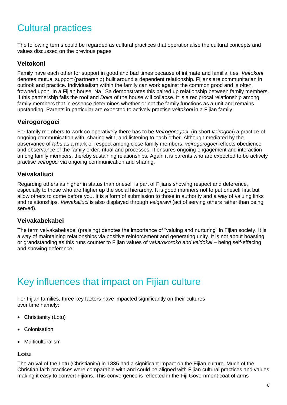## Cultural practices

The following terms could be regarded as cultural practices that operationalise the cultural concepts and values discussed on the previous pages.

#### **Veitokoni**

Family have each other for support in good and bad times because of intimate and familial ties. *Veitokoni* denotes mutual support (partnership) built around a dependent relationship. Fijians are communitarian in outlook and practice. Individualism within the family can work against the common good and is often frowned upon. In a Fijian house, Na i Sa demonstrates this paired up relationship between family members. If this partnership fails the roof and *Doka* of the house will collapse. It is a reciprocal relationship among family members that in essence determines whether or not the family functions as a unit and remains upstanding. Parents in particular are expected to actively practise *veitokoni* in a Fijian family.

#### **Veirogorogoci**

For family members to work co-operatively there has to be *Veirogorogoci*, (in short *veirogoci*) a practice of ongoing communication with, sharing with, and listening to each other. Although mediated by the observance of *tabu* as a mark of respect among close family members, *veirogorogoci* reflects obedience and observance of the family order, ritual and processes. It ensures ongoing engagement and interaction among family members, thereby sustaining relationships. Again it is parents who are expected to be actively practise *veirogoci* via ongoing communication and sharing.

#### **Veivakaliuci**

Regarding others as higher in status than oneself is part of Fijians showing respect and deference, especially to those who are higher up the social hierarchy. It is good manners not to put oneself first but allow others to come before you. It is a form of submission to those in authority and a way of valuing links and relationships. *Veivakaliuci* is also displayed through *veiqaravi* (act of serving others rather than being served).

#### **Veivakabekabei**

The term veivakabekabei (praising) denotes the importance of "valuing and nurturing" in Fijian society. It is a way of maintaining relationships via positive reinforcement and generating unity. It is not about boasting or grandstanding as this runs counter to Fijian values of *vakarokoroko and veidokai* – being self-effacing and showing deference.

## Key influences that impact on Fijian culture

For Fijian families, three key factors have impacted significantly on their cultures over time namely:

- Christianity (Lotu)
- Colonisation
- Multiculturalism

#### **Lotu**

The arrival of the Lotu (Christianity) in 1835 had a significant impact on the Fijian culture. Much of the Christian faith practices were comparable with and could be aligned with Fijian cultural practices and values making it easy to convert Fijians. This convergence is reflected in the Fiji Government coat of arms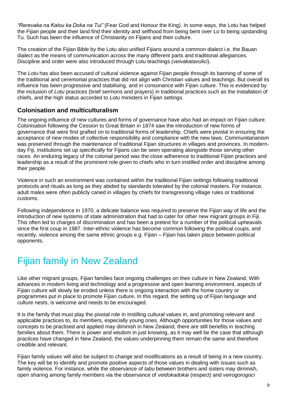*"Rerevaka na Kalou ka Doka na Tui"* (Fear God and Honour the King). In some ways, the Lotu has helped the Fijian people and their land find their identity and selfhood from being bent over Lo to being upstanding Tu. Such has been the influence of Christianity on Fijians and their culture.

The creation of the Fijian Bible by the Lotu also unified Fijians around a common dialect i.e. the Bauan dialect as the means of communication across the many different parts and traditional allegiances. Discipline and order were also introduced through Lotu teachings (*veivakatavulici*).

The *Lotu* has also been accused of cultural violence against Fijian people through its banning of some of the traditional and ceremonial practices that did not align with Christian values and teachings. But overall its influence has been progressive and stabilising, and in consonance with Fijian culture. This is evidenced by the inclusion of *Lotu* practices (brief sermons and prayers) in traditional practices such as the installation of chiefs, and the high status accorded to *Lotu* ministers in Fijian settings.

#### **Colonisation and multiculturalism**

The ongoing influence of new cultures and forms of governance have also had an impact on Fijian culture. Colonisation following the Cession to Great Britain in 1874 saw the introduction of new forms of governance that were first grafted on to traditional forms of leadership. Chiefs were pivotal in ensuring the acceptance of new modes of collective responsibility and compliance with the new laws. Communitarianism was preserved through the maintenance of traditional Fijian structures in villages and provinces. In modernday Fiji, institutions set up specifically for Fijians can be seen operating alongside those serving other races. An enduring legacy of the colonial period was the close adherence to traditional Fijian practices and leadership as a result of the prominent role given to chiefs who in turn instilled order and discipline among their people.

Violence in such an environment was contained within the traditional Fijian settings following traditional protocols and rituals as long as they abided by standards tolerated by the colonial masters. For instance, adult males were often publicly caned in villages by chiefs for transgressing village rules or traditional customs.

Following independence in 1970, a delicate balance was required to preserve the Fijian way of life and the introduction of new systems of state administration that had to cater for other new migrant groups in Fiji. This often led to charges of discrimination and has been a pretext for a number of the political upheavals since the first coup in 1987. Inter-ethnic violence has become common following the political coups, and recently, violence among the same ethnic groups e.g. Fijian – Fijian has taken place between political opponents.

## Fijian family in New Zealand

Like other migrant groups, Fijian families face ongoing challenges on their culture in New Zealand. With advances in modern living and technology and a progressive and open learning environment, aspects of Fijian culture will slowly be eroded unless there is ongoing interaction with the home country or programmes put in place to promote Fijian culture. In this regard, the setting up of Fijian language and culture nests, is welcome and needs to be encouraged.

It is the family that must play the pivotal role in instilling cultural values in, and promoting relevant and applicable practices to, its members, especially young ones. Although opportunities for those values and concepts to be practised and applied may diminish in New Zealand, there are still benefits in teaching families about them. There is power and wisdom in just knowing, as it may well be the case that although practices have changed in New Zealand, the values underpinning them remain the same and therefore credible and relevant.

Fijian family values will also be subject to change and modifications as a result of being in a new country. The key will be to identify and promote positive aspects of those values in dealing with issues such as family violence. For instance, while the observance of *tabu* between brothers and sisters may diminish, open sharing among family members via the observance of *veidokadokai* (respect) and *veirogorogoci*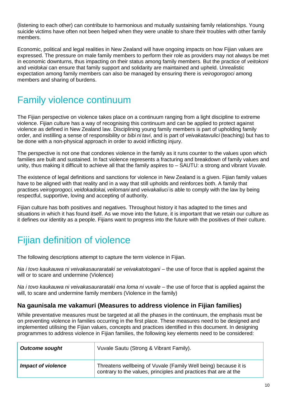(listening to each other) can contribute to harmonious and mutually sustaining family relationships. Young suicide victims have often not been helped when they were unable to share their troubles with other family members.

Economic, political and legal realities in New Zealand will have ongoing impacts on how Fijian values are expressed. The pressure on male family members to perform their role as providers may not always be met in economic downturns, thus impacting on their status among family members. But the practice of *veitokoni* and *veidokai* can ensure that family support and solidarity are maintained and upheld. Unrealistic expectation among family members can also be managed by ensuring there is *veirogorogoci* among members and sharing of burdens.

## Family violence continuum

The Fijian perspective on violence takes place on a continuum ranging from a light discipline to extreme violence. Fijian culture has a way of recognising this continuum and can be applied to protect against violence as defined in New Zealand law. Disciplining young family members is part of upholding family order, and instilling a sense of responsibility or *bibi ni tavi*, and is part of *veivakatavulici* (teaching) but has to be done with a non-physical approach in order to avoid inflicting injury.

The perspective is not one that condones violence in the family as it runs counter to the values upon which families are built and sustained. In fact violence represents a fracturing and breakdown of family values and unity, thus making it difficult to achieve all that the family aspires to – SAUTU: a strong and vibrant *Vuvale*.

The existence of legal definitions and sanctions for violence in New Zealand is a given. Fijian family values have to be aligned with that reality and in a way that still upholds and reinforces both. A family that practises *veirogorogoci, veidokadokai, veilomani* and *veivakaliuci* is able to comply with the law by being respectful, supportive, loving and accepting of authority.

Fijian culture has both positives and negatives. Throughout history it has adapted to the times and situations in which it has found itself. As we move into the future, it is important that we retain our culture as it defines our identity as a people. Fijians want to progress into the future with the positives of their culture.

## Fijian definition of violence

The following descriptions attempt to capture the term violence in Fijian.

*Na i tovo kaukauwa ni veivakasaurarataki se veivakatotogani* – the use of force that is applied against the will or to scare and undermine (Violence)

*Na i tovo kaukauwa ni veivakasaurarataki ena loma ni vuvale* – the use of force that is applied against the will, to scare and undermine family members (Violence in the family)

#### **Na gaunisala me vakamuri (Measures to address violence in Fijian families)**

While preventative measures must be targeted at all the phases in the continuum, the emphasis must be on preventing violence in families occurring in the first place. These measures need to be designed and implemented utilising the Fijian values, concepts and practices identified in this document. In designing programmes to address violence in Fijian families, the following key elements need to be considered:

| <b>Outcome sought</b>     | Vuvale Sautu (Strong & Vibrant Family).                                                                                             |
|---------------------------|-------------------------------------------------------------------------------------------------------------------------------------|
| <b>Impact of violence</b> | Threatens wellbeing of Vuvale (Family Well being) because it is<br>contrary to the values, principles and practices that are at the |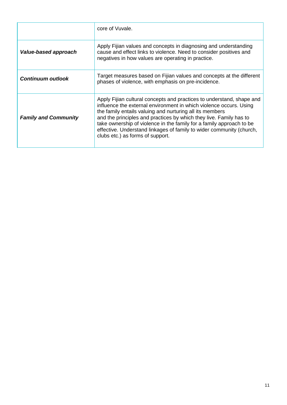|                             | core of Vuvale.                                                                                                                                                                                                                                                                                                                                                                                                                                                   |
|-----------------------------|-------------------------------------------------------------------------------------------------------------------------------------------------------------------------------------------------------------------------------------------------------------------------------------------------------------------------------------------------------------------------------------------------------------------------------------------------------------------|
| Value-based approach        | Apply Fijian values and concepts in diagnosing and understanding<br>cause and effect links to violence. Need to consider positives and<br>negatives in how values are operating in practice.                                                                                                                                                                                                                                                                      |
| <b>Continuum outlook</b>    | Target measures based on Fijian values and concepts at the different<br>phases of violence, with emphasis on pre-incidence.                                                                                                                                                                                                                                                                                                                                       |
| <b>Family and Community</b> | Apply Fijian cultural concepts and practices to understand, shape and<br>influence the external environment in which violence occurs. Using<br>the family entails valuing and nurturing all its members<br>and the principles and practices by which they live. Family has to<br>take ownership of violence in the family for a family approach to be<br>effective. Understand linkages of family to wider community (church,<br>clubs etc.) as forms of support. |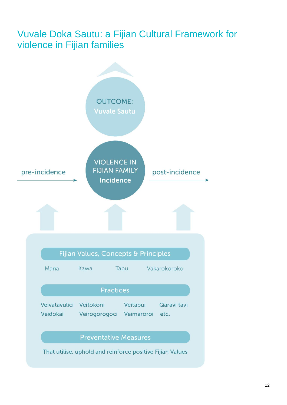## Vuvale Doka Sautu: a Fijian Cultural Framework for violence in Fijian families

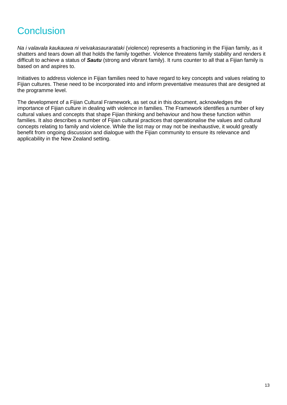## **Conclusion**

*Na i valavala kaukauwa ni veivakasaurarataki* (violence) represents a fractioning in the Fijian family, as it shatters and tears down all that holds the family together. Violence threatens family stability and renders it difficult to achieve a status of *Sautu* (strong and vibrant family). It runs counter to all that a Fijian family is based on and aspires to.

Initiatives to address violence in Fijian families need to have regard to key concepts and values relating to Fijian cultures. These need to be incorporated into and inform preventative measures that are designed at the programme level.

The development of a Fijian Cultural Framework, as set out in this document, acknowledges the importance of Fijian culture in dealing with violence in families. The Framework identifies a number of key cultural values and concepts that shape Fijian thinking and behaviour and how these function within families. It also describes a number of Fijian cultural practices that operationalise the values and cultural concepts relating to family and violence. While the list may or may not be inexhaustive, it would greatly benefit from ongoing discussion and dialogue with the Fijian community to ensure its relevance and applicability in the New Zealand setting.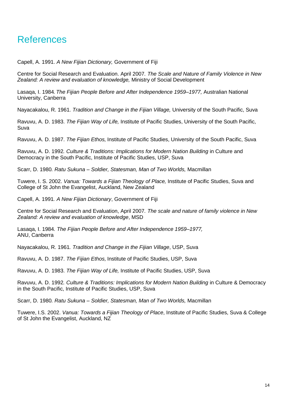### References

Capell, A. 1991. *A New Fijian Dictionary,* Government of Fiji

Centre for Social Research and Evaluation. April 2007*. The Scale and Nature of Family Violence in New Zealand: A review and evaluation of knowledge,* Ministry of Social Development

Lasaqa, I. 1984*. The Fijian People Before and After Independence 1959–1977,* Australian National University, Canberra

Nayacakalou, R. 1961. *Tradition and Change in the Fijian Village,* University of the South Pacific, Suva

Ravuvu, A. D. 1983. *The Fijian Way of Life,* Institute of Pacific Studies, University of the South Pacific, Suva

Ravuvu, A. D. 1987. *The Fijian Ethos,* Institute of Pacific Studies, University of the South Pacific, Suva

Ravuvu, A. D. 1992*. Culture & Traditions: Implications for Modern Nation Building* in Culture and Democracy in the South Pacific, Institute of Pacific Studies, USP, Suva

Scarr, D. 1980*. Ratu Sukuna – Soldier, Statesman, Man of Two Worlds,* Macmillan

Tuwere, I. S. 2002. *Vanua: Towards a Fijian Theology of Place,* Institute of Pacific Studies, Suva and College of St John the Evangelist, Auckland, New Zealand

Capell, A. 1991*. A New Fijian Dictionary*, Government of Fiji

Centre for Social Research and Evaluation, April 2007*. The scale and nature of family violence in New Zealand: A review and evaluation of knowledge*, MSD

Lasaqa, I. 1984*. The Fijian People Before and After Independence 1959–1977,*  ANU, Canberra

Nayacakalou, R. 1961*. Tradition and Change in the Fijian Village*, USP, Suva

Ravuvu, A. D. 1987. *The Fijian Ethos,* Institute of Pacific Studies, USP, Suva

Ravuvu, A. D. 1983. *The Fijian Way of Life,* Institute of Pacific Studies, USP, Suva

Ravuvu, A. D. 1992*. Culture & Traditions: Implications for Modern Nation Building* in Culture & Democracy in the South Pacific, Institute of Pacific Studies, USP, Suva

Scarr, D. 1980*. Ratu Sukuna – Soldier, Statesman, Man of Two Worlds,* Macmillan

Tuwere, I.S. 2002. *Vanua: Towards a Fijian Theology of Place*, Institute of Pacific Studies, Suva & College of St John the Evangelist, Auckland, NZ